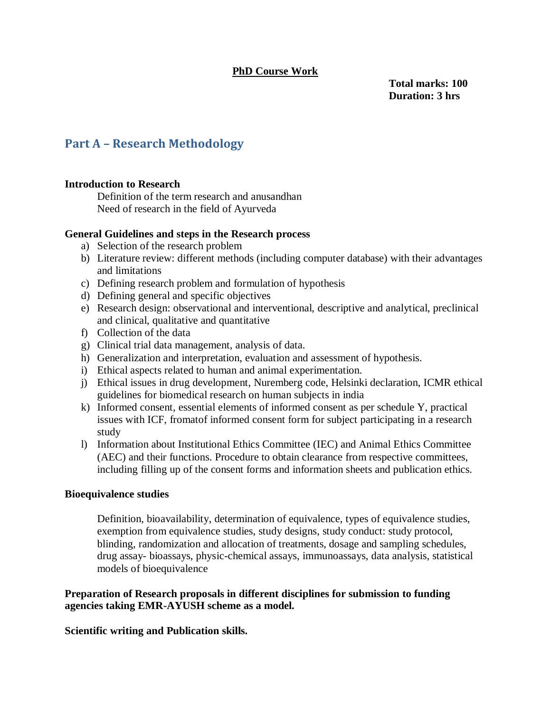# **PhD Course Work**

**Total marks: 100 Duration: 3 hrs**

# **Part A – Research Methodology**

# **Introduction to Research**

Definition of the term research and anusandhan Need of research in the field of Ayurveda

## **General Guidelines and steps in the Research process**

- a) Selection of the research problem
- b) Literature review: different methods (including computer database) with their advantages and limitations
- c) Defining research problem and formulation of hypothesis
- d) Defining general and specific objectives
- e) Research design: observational and interventional, descriptive and analytical, preclinical and clinical, qualitative and quantitative
- f) Collection of the data
- g) Clinical trial data management, analysis of data.
- h) Generalization and interpretation, evaluation and assessment of hypothesis.
- i) Ethical aspects related to human and animal experimentation.
- j) Ethical issues in drug development, Nuremberg code, Helsinki declaration, ICMR ethical guidelines for biomedical research on human subjects in india
- k) Informed consent, essential elements of informed consent as per schedule Y, practical issues with ICF, fromatof informed consent form for subject participating in a research study
- l) Information about Institutional Ethics Committee (IEC) and Animal Ethics Committee (AEC) and their functions. Procedure to obtain clearance from respective committees, including filling up of the consent forms and information sheets and publication ethics.

# **Bioequivalence studies**

Definition, bioavailability, determination of equivalence, types of equivalence studies, exemption from equivalence studies, study designs, study conduct: study protocol, blinding, randomization and allocation of treatments, dosage and sampling schedules, drug assay- bioassays, physic-chemical assays, immunoassays, data analysis, statistical models of bioequivalence

# **Preparation of Research proposals in different disciplines for submission to funding agencies taking EMR-AYUSH scheme as a model.**

# **Scientific writing and Publication skills.**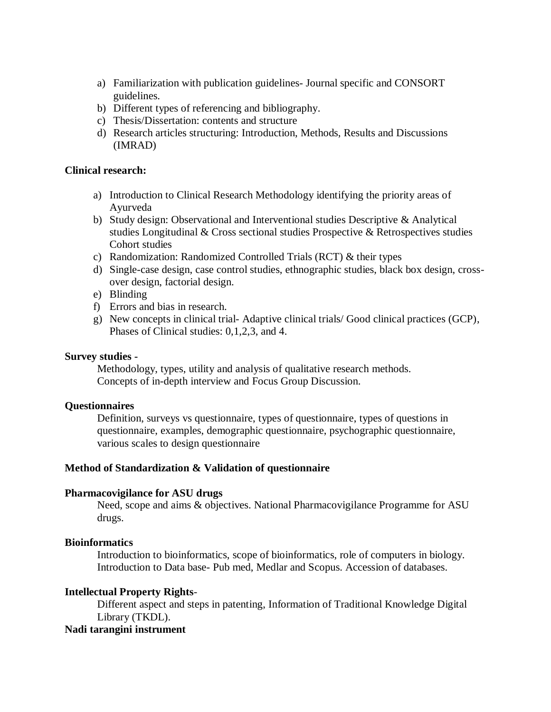- a) Familiarization with publication guidelines- Journal specific and CONSORT guidelines.
- b) Different types of referencing and bibliography.
- c) Thesis/Dissertation: contents and structure
- d) Research articles structuring: Introduction, Methods, Results and Discussions (IMRAD)

## **Clinical research:**

- a) Introduction to Clinical Research Methodology identifying the priority areas of Ayurveda
- b) Study design: Observational and Interventional studies Descriptive & Analytical studies Longitudinal & Cross sectional studies Prospective & Retrospectives studies Cohort studies
- c) Randomization: Randomized Controlled Trials (RCT) & their types
- d) Single-case design, case control studies, ethnographic studies, black box design, crossover design, factorial design.
- e) Blinding
- f) Errors and bias in research.
- g) New concepts in clinical trial- Adaptive clinical trials/ Good clinical practices (GCP), Phases of Clinical studies: 0,1,2,3, and 4.

## **Survey studies -**

Methodology, types, utility and analysis of qualitative research methods. Concepts of in-depth interview and Focus Group Discussion.

# **Questionnaires**

Definition, surveys vs questionnaire, types of questionnaire, types of questions in questionnaire, examples, demographic questionnaire, psychographic questionnaire, various scales to design questionnaire

# **Method of Standardization & Validation of questionnaire**

## **Pharmacovigilance for ASU drugs**

Need, scope and aims & objectives. National Pharmacovigilance Programme for ASU drugs.

## **Bioinformatics**

Introduction to bioinformatics, scope of bioinformatics, role of computers in biology. Introduction to Data base- Pub med, Medlar and Scopus. Accession of databases.

# **Intellectual Property Rights**-

Different aspect and steps in patenting, Information of Traditional Knowledge Digital Library (TKDL).

# **Nadi tarangini instrument**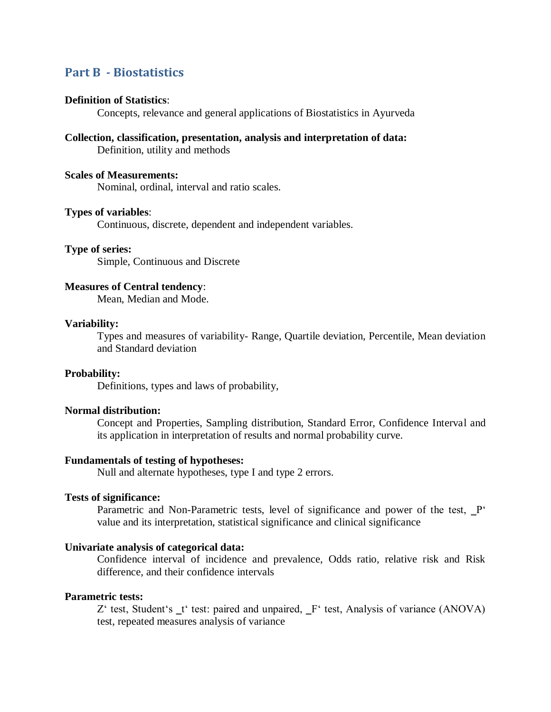# **Part B - Biostatistics**

#### **Definition of Statistics**:

Concepts, relevance and general applications of Biostatistics in Ayurveda

# **Collection, classification, presentation, analysis and interpretation of data:**

Definition, utility and methods

## **Scales of Measurements:**

Nominal, ordinal, interval and ratio scales.

## **Types of variables**:

Continuous, discrete, dependent and independent variables.

### **Type of series:**

Simple, Continuous and Discrete

# **Measures of Central tendency**:

Mean, Median and Mode.

#### **Variability:**

Types and measures of variability- Range, Quartile deviation, Percentile, Mean deviation and Standard deviation

#### **Probability:**

Definitions, types and laws of probability,

## **Normal distribution:**

Concept and Properties, Sampling distribution, Standard Error, Confidence Interval and its application in interpretation of results and normal probability curve.

## **Fundamentals of testing of hypotheses:**

Null and alternate hypotheses, type I and type 2 errors.

#### **Tests of significance:**

Parametric and Non-Parametric tests, level of significance and power of the test, P' value and its interpretation, statistical significance and clinical significance

## **Univariate analysis of categorical data:**

Confidence interval of incidence and prevalence, Odds ratio, relative risk and Risk difference, and their confidence intervals

#### **Parametric tests:**

Z' test, Student's t' test: paired and unpaired, F' test, Analysis of variance (ANOVA) test, repeated measures analysis of variance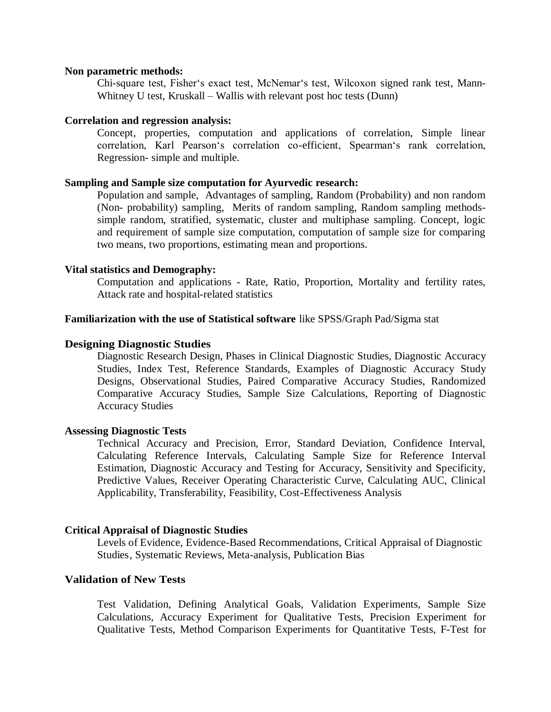### **Non parametric methods:**

Chi-square test, Fisher's exact test, McNemar's test, Wilcoxon signed rank test, Mann-Whitney U test, Kruskall – Wallis with relevant post hoc tests (Dunn)

## **Correlation and regression analysis:**

Concept, properties, computation and applications of correlation, Simple linear correlation, Karl Pearson's correlation co-efficient, Spearman's rank correlation, Regression- simple and multiple.

## **Sampling and Sample size computation for Ayurvedic research:**

Population and sample, Advantages of sampling, Random (Probability) and non random (Non- probability) sampling, Merits of random sampling, Random sampling methodssimple random, stratified, systematic, cluster and multiphase sampling. Concept, logic and requirement of sample size computation, computation of sample size for comparing two means, two proportions, estimating mean and proportions.

#### **Vital statistics and Demography:**

Computation and applications - Rate, Ratio, Proportion, Mortality and fertility rates, Attack rate and hospital-related statistics

#### **Familiarization with the use of Statistical software** like SPSS/Graph Pad/Sigma stat

#### **Designing [Diagnostic](http://dx.doi.org/10.1007/978-3-319-60543-2_13) Studies**

[Diagnostic](http://dx.doi.org/10.1007/978-3-319-60543-2_13#Sec2) Research Design, Phases in Clinical [Diagnostic](http://dx.doi.org/10.1007/978-3-319-60543-2_13#Sec3) Studies, [Diagnostic](http://dx.doi.org/10.1007/978-3-319-60543-2_13#Sec4) Accuracy [Studies,](http://dx.doi.org/10.1007/978-3-319-60543-2_13#Sec4) [Index](http://dx.doi.org/10.1007/978-3-319-60543-2_13#Sec5) Test, [Reference](http://dx.doi.org/10.1007/978-3-319-60543-2_13#Sec6) Standards, Examples of [Diagnostic](http://dx.doi.org/10.1007/978-3-319-60543-2_13#Sec7) Accuracy Study [Designs,](http://dx.doi.org/10.1007/978-3-319-60543-2_13#Sec7) [Observational](http://dx.doi.org/10.1007/978-3-319-60543-2_13#Sec8) Studies, Paired [Comparative](http://dx.doi.org/10.1007/978-3-319-60543-2_13#Sec9) Accuracy Studies, [Randomized](http://dx.doi.org/10.1007/978-3-319-60543-2_13#Sec10) [Comparative](http://dx.doi.org/10.1007/978-3-319-60543-2_13#Sec10) Accuracy Studies, Sample Size [Calculations,](http://dx.doi.org/10.1007/978-3-319-60543-2_13#Sec11) Reporting of [Diagnostic](http://dx.doi.org/10.1007/978-3-319-60543-2_13#Sec12) [Accuracy](http://dx.doi.org/10.1007/978-3-319-60543-2_13#Sec12) Studies

#### **Assessing Diagnostic Tests**

Technical Accuracy and Precision, Error, Standard Deviation, Confidence Interval, Calculating Reference Intervals, Calculating Sample Size for Reference Interval Estimation, Diagnostic Accuracy and Testing for Accuracy, Sensitivity and Specificity, Predictive Values, Receiver Operating Characteristic Curve, Calculating AUC, Clinical Applicability, Transferability, Feasibility, Cost-Effectiveness Analysis

#### **Critical Appraisal of Diagnostic Studies**

Levels of Evidence, Evidence-Based Recommendations, Critical Appraisal of Diagnostic Studies, Systematic Reviews, Meta-analysis, Publication Bias

## **[Validation](http://dx.doi.org/10.1007/978-3-319-60543-2_10) of New Tests**

Test [Validation,](http://dx.doi.org/10.1007/978-3-319-60543-2_10#Sec2) Defining [Analytical](http://dx.doi.org/10.1007/978-3-319-60543-2_10#Sec3) Goals, Validation [Experiments,](http://dx.doi.org/10.1007/978-3-319-60543-2_10#Sec4) [Sample](http://dx.doi.org/10.1007/978-3-319-60543-2_10#Sec5) Size [Calculations,](http://dx.doi.org/10.1007/978-3-319-60543-2_10#Sec5) Accuracy [Experiment](http://dx.doi.org/10.1007/978-3-319-60543-2_10#Sec6) for Qualitative Tests, Precision [Experiment](http://dx.doi.org/10.1007/978-3-319-60543-2_10#Sec7) for [Qualitative](http://dx.doi.org/10.1007/978-3-319-60543-2_10#Sec7) Tests, Method Comparison [Experiments](http://dx.doi.org/10.1007/978-3-319-60543-2_10#Sec8) for Quantitative Tests, [F-Test](http://dx.doi.org/10.1007/978-3-319-60543-2_10#Sec9) for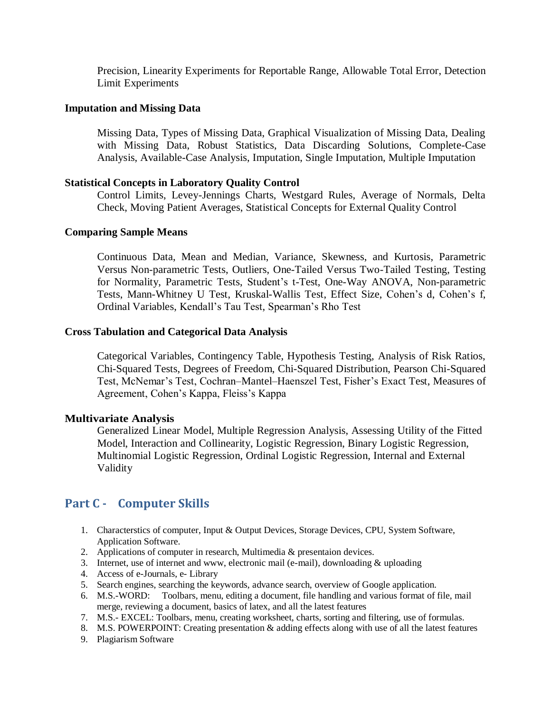Precision, Linearity [Experiments](http://dx.doi.org/10.1007/978-3-319-60543-2_10#Sec10) for Reportable Range, [Allowable](http://dx.doi.org/10.1007/978-3-319-60543-2_10#Sec11) Total Error, [Detection](http://dx.doi.org/10.1007/978-3-319-60543-2_10#Sec12) Limit [Experiments](http://dx.doi.org/10.1007/978-3-319-60543-2_10#Sec12)

## **Imputation and Missing Data**

Missing Data, Types of Missing Data, Graphical Visualization of Missing Data, Dealing with Missing Data, Robust Statistics, Data Discarding Solutions, Complete-Case Analysis, Available-Case Analysis, Imputation, Single Imputation, Multiple Imputation

## **Statistical Concepts in Laboratory Quality Control**

Control Limits, Levey-Jennings Charts, Westgard Rules, Average of Normals, Delta Check, Moving Patient Averages, Statistical Concepts for External Quality Control

## **Comparing Sample Means**

Continuous Data, Mean and Median, Variance, Skewness, and Kurtosis, Parametric Versus Non-parametric Tests, Outliers, One-Tailed Versus Two-Tailed Testing, Testing for Normality, Parametric Tests, Student's t-Test, One-Way ANOVA, Non-parametric Tests, Mann-Whitney U Test, Kruskal-Wallis Test, Effect Size, Cohen's d, Cohen's f, Ordinal Variables, Kendall's Tau Test, Spearman's Rho Test

## **Cross Tabulation and Categorical Data Analysis**

Categorical Variables, Contingency Table, Hypothesis Testing, Analysis of Risk Ratios, Chi-Squared Tests, Degrees of Freedom, Chi-Squared Distribution, Pearson Chi-Squared Test, McNemar's Test, Cochran–Mantel–Haenszel Test, Fisher's Exact Test, Measures of Agreement, Cohen's Kappa, Fleiss's Kappa

## **[Multivariate Analysis](http://dx.doi.org/10.1007/978-3-319-60543-2_7)**

[Generalized](http://dx.doi.org/10.1007/978-3-319-60543-2_7#Sec2) Linear Model, Multiple [Regression](http://dx.doi.org/10.1007/978-3-319-60543-2_7#Sec3) Analysis, [Assessing](http://dx.doi.org/10.1007/978-3-319-60543-2_7#Sec4) Utility of the Fitted [Model,](http://dx.doi.org/10.1007/978-3-319-60543-2_7#Sec4) Interaction and [Collinearity,](http://dx.doi.org/10.1007/978-3-319-60543-2_7#Sec5) Logistic [Regression,](http://dx.doi.org/10.1007/978-3-319-60543-2_7#Sec6) Binary Logistic [Regression,](http://dx.doi.org/10.1007/978-3-319-60543-2_7#Sec7) [Multinomial](http://dx.doi.org/10.1007/978-3-319-60543-2_7#Sec8) Logistic Regression, Ordinal Logistic [Regression,](http://dx.doi.org/10.1007/978-3-319-60543-2_7#Sec9) Internal and [External](http://dx.doi.org/10.1007/978-3-319-60543-2_7#Sec10) [Validity](http://dx.doi.org/10.1007/978-3-319-60543-2_7#Sec10)

# **Part C - Computer Skills**

- 1. Characterstics of computer, Input & Output Devices, Storage Devices, CPU, System Software, Application Software.
- 2. Applications of computer in research, Multimedia & presentaion devices.
- 3. Internet, use of internet and www, electronic mail (e-mail), downloading & uploading
- 4. Access of e-Journals, e- Library
- 5. Search engines, searching the keywords, advance search, overview of Google application.
- 6. M.S.-WORD: Toolbars, menu, editing a document, file handling and various format of file, mail merge, reviewing a document, basics of latex, and all the latest features
- 7. M.S.- EXCEL: Toolbars, menu, creating worksheet, charts, sorting and filtering, use of formulas.
- 8. M.S. POWERPOINT: Creating presentation & adding effects along with use of all the latest features
- 9. Plagiarism Software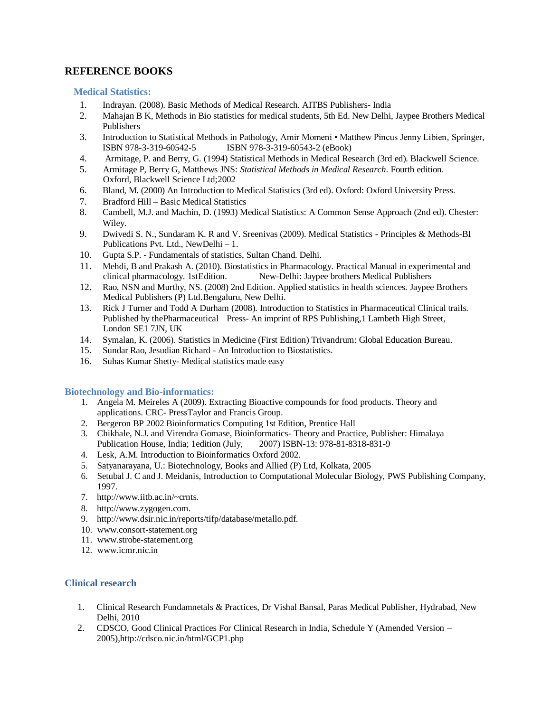# **REFERENCE BOOKS**

#### **Medical Statistics:**

- 1. Indrayan. (2008). Basic Methods of Medical Research. AITBS Publishers- India
- 2. Mahajan B K, Methods in Bio statistics for medical students, 5th Ed. New Delhi, Jaypee Brothers Medical Publishers
- 3. Introduction to Statistical Methods in Pathology, Amir Momeni Matthew Pincus Jenny Libien, Springer, ISBN 978-3-319-60542-5 ISBN 978-3-319-60543-2 (eBook)
- 4. Armitage, P. and Berry, G. (1994) Statistical Methods in Medical Research (3rd ed). Blackwell Science.
- 5. Armitage P, Berry G, Matthews JNS: *Statistical Methods in Medical Research*. Fourth edition. Oxford, Blackwell Science Ltd;2002
- 6. Bland, M. (2000) An Introduction to Medical Statistics (3rd ed). Oxford: Oxford University Press.
- 7. Bradford Hill Basic Medical Statistics
- 8. Cambell, M.J. and Machin, D. (1993) Medical Statistics: A Common Sense Approach (2nd ed). Chester: Wiley.
- 9. Dwivedi S. N., Sundaram K. R and V. Sreenivas (2009). Medical Statistics Principles & Methods-BI Publications Pvt. Ltd., NewDelhi – 1.
- 10. Gupta S.P. Fundamentals of statistics, Sultan Chand. Delhi.
- 11. Mehdi, B and Prakash A. (2010). Biostatistics in Pharmacology. Practical Manual in experimental and clinical pharmacology. 1stEdition. New-Delhi: Jaypee brothers Medical Publishers
- 12. Rao, NSN and Murthy, NS. (2008) 2nd Edition. Applied statistics in health sciences. Jaypee Brothers Medical Publishers (P) Ltd.Bengaluru, New Delhi.
- 13. Rick J Turner and Todd A Durham (2008). Introduction to Statistics in Pharmaceutical Clinical trails. Published by thePharmaceutical Press- An imprint of RPS Publishing,1 Lambeth High Street, London SE1 7JN, UK
- 14. Symalan, K. (2006). Statistics in Medicine (First Edition) Trivandrum: Global Education Bureau.
- 15. Sundar Rao, Jesudian Richard An Introduction to Biostatistics.
- 16. Suhas Kumar Shetty- Medical statistics made easy

#### **Biotechnology and Bio-informatics:**

- 1. Angela M. Meireles A (2009). Extracting Bioactive compounds for food products. Theory and applications. CRC- PressTaylor and Francis Group.
- 2. Bergeron BP 2002 Bioinformatics Computing 1st Edition, Prentice Hall
- 3. Chikhale, N.J. and Virendra Gomase, Bioinformatics- Theory and Practice, Publisher: Himalaya Publication House, India; 1edition (July, 2007) ISBN-13: 978-81-8318-831-9
- 4. Lesk, A.M. Introduction to Bioinformatics Oxford 2002.
- 5. Satyanarayana, U.: Biotechnology, Books and Allied (P) Ltd, Kolkata, 2005
- 6. Setubal J. C and J. Meidanis, Introduction to Computational Molecular Biology, PWS Publishing Company, 1997.
- 7. [http://www.iitb.ac.in/~crnts.](http://www.iitb.ac.in/~crnts)
- 8. [http://www.zygogen.com.](http://www.zygogen.com/)
- 9. [http://www.dsir.nic.in/reports/tifp/database/metallo.pdf.](http://www.dsir.nic.in/reports/tifp/database/metallo.pdf)
- 10. [www.consort-statement.org](http://www.consort-statement.org/)
- 11. [www.strobe-statement.org](http://www.strobe-statement.org/)
- 12. [www.icmr.nic.in](http://www.icmr.nic.in/)

## **Clinical research**

- 1. Clinical Research Fundamnetals & Practices, Dr Vishal Bansal, Paras Medical Publisher, Hydrabad, New Delhi, 2010
- 2. CDSCO, Good Clinical Practices For Clinical Research in India, Schedule Y (Amended Version 2005[\),http://cdsco.nic.in/html/GCP1.php](http://cdsco.nic.in/html/GCP1.php)